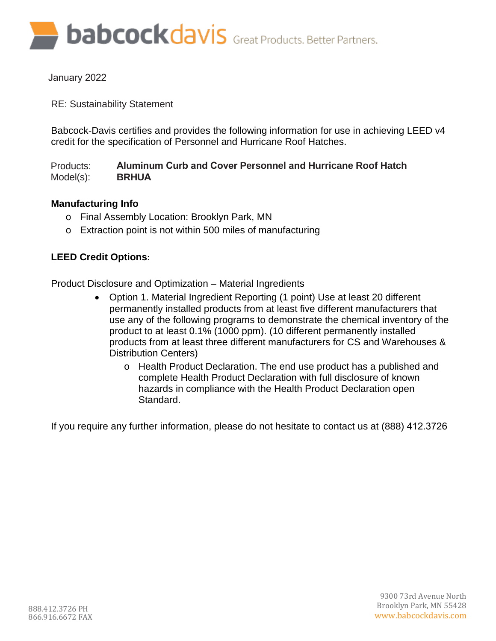**babcockdavis** Great Products. Better Partners.

January 2022

RE: Sustainability Statement

Babcock-Davis certifies and provides the following information for use in achieving LEED v4 credit for the specification of Personnel and Hurricane Roof Hatches.

Products: Model(s): **Aluminum Curb and Cover Personnel and Hurricane Roof Hatch BRHUA**

## **Manufacturing Info**

- o Final Assembly Location: Brooklyn Park, MN
- o Extraction point is not within 500 miles of manufacturing

## **LEED Credit Options**:

Product Disclosure and Optimization – Material Ingredients

- Option 1. Material Ingredient Reporting (1 point) Use at least 20 different permanently installed products from at least five different manufacturers that use any of the following programs to demonstrate the chemical inventory of the product to at least 0.1% (1000 ppm). (10 different permanently installed products from at least three different manufacturers for CS and Warehouses & Distribution Centers)
	- o Health Product Declaration. The end use product has a published and complete Health Product Declaration with full disclosure of known hazards in compliance with the Health Product Declaration open Standard.

If you require any further information, please do not hesitate to contact us at (888) 412.3726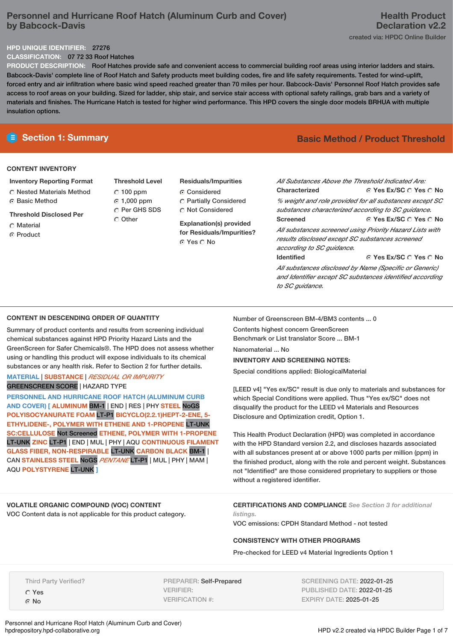# **Personnel and Hurricane Roof Hatch (Aluminum Curb and Cover) by Babcock-Davis**

#### **HPD UNIQUE IDENTIFIER:** 27276

**CLASSIFICATION:** 07 72 33 Roof Hatches

**PRODUCT DESCRIPTION:** Roof Hatches provide safe and convenient access to commercial building roof areas using interior ladders and stairs. Babcock-Davis' complete line of Roof Hatch and Safety products meet building codes, fire and life safety requirements. Tested for wind-uplift, forced entry and air infiltration where basic wind speed reached greater than 70 miles per hour. Babcock-Davis' Personnel Roof Hatch provides safe access to roof areas on your building. Sized for ladder, ship stair, and service stair access with optional safety railings, grab bars and a variety of materials and finishes. The Hurricane Hatch is tested for higher wind performance. This HPD covers the single door models BRHUA with multiple insulation options.

### **CONTENT INVENTORY**

- **Inventory Reporting Format**
- Nested Materials Method
- **G** Basic Method
- **Threshold Disclosed Per**
- Material
- ⊙ Product

**Threshold Level**  $C$  100 ppm 1,000 ppm C Per GHS SDS Other

## **Residuals/Impurities** C Considered

 Partially Considered Not Considered

**Explanation(s) provided for Residuals/Impurities?** ⊙ Yes O No

# **E** Section 1: Summary **Basic Method / Product Threshold**

**© Yes Ex/SC ⊙ Yes ⊙ No** *C* Yes Ex/SC  $\bigcirc$  Yes  $\bigcirc$  No  **Yes Ex/SC Yes No** *All Substances Above the Threshold Indicated Are:* **Characterized** *% weight and role provided for all substances except SC substances characterized according to SC guidance.* **Screened** *All substances screened using Priority Hazard Lists with results disclosed except SC substances screened according to SC guidance.* **Identified**

*All substances disclosed by Name (Specific or Generic) and Identifier except SC substances identified according*

## **CONTENT IN DESCENDING ORDER OF QUANTITY**

Summary of product contents and results from screening individual chemical substances against HPD Priority Hazard Lists and the GreenScreen for Safer Chemicals®. The HPD does not assess whether using or handling this product will expose individuals to its chemical substances or any health risk. Refer to Section 2 for further details.

## **MATERIAL** | **SUBSTANCE** | *RESIDUAL OR IMPURITY* GREENSCREEN SCORE | HAZARD TYPE

**PERSONNEL AND HURRICANE ROOF HATCH (ALUMINUM CURB AND COVER) [ ALUMINUM** BM-1 | END | RES | PHY **STEEL** NoGS **POLYISOCYANURATE FOAM** LT-P1 **BICYCLO(2.2.1)HEPT-2-ENE, 5- ETHYLIDENE-, POLYMER WITH ETHENE AND 1-PROPENE** LT-UNK **SC:CELLULOSE** Not Screened **ETHENE, POLYMER WITH 1-PROPENE** LT-UNK **ZINC** LT-P1 | END | MUL | PHY | AQU **CONTINUOUS FILAMENT GLASS FIBER, NON-RESPIRABLE** LT-UNK **CARBON BLACK** BM-1 | CAN **STAINLESS STEEL** NoGS *PENTANE* LT-P1 | MUL | PHY | MAM | AQU **POLYSTYRENE** LT-UNK **]**

# **VOLATILE ORGANIC COMPOUND (VOC) CONTENT**

VOC Content data is not applicable for this product category.

Number of Greenscreen BM-4/BM3 contents ... 0

Contents highest concern GreenScreen Benchmark or List translator Score ... BM-1

*to SC guidance.*

Nanomaterial ... No.

### **INVENTORY AND SCREENING NOTES:**

Special conditions applied: BiologicalMaterial

[LEED v4] "Yes ex/SC" result is due only to materials and substances for which Special Conditions were applied. Thus "Yes ex/SC" does not disqualify the product for the LEED v4 Materials and Resources Disclosure and Optimization credit, Option 1.

This Health Product Declaration (HPD) was completed in accordance with the HPD Standard version 2.2, and discloses hazards associated with all substances present at or above 1000 parts per million (ppm) in the finished product, along with the role and percent weight. Substances not "Identified" are those considered proprietary to suppliers or those without a registered identifier.

**CERTIFICATIONS AND COMPLIANCE** *See Section 3 for additional listings.*

VOC emissions: CPDH Standard Method - not tested

### **CONSISTENCY WITH OTHER PROGRAMS**

Pre-checked for LEED v4 Material Ingredients Option 1

Third Party Verified?

 Yes © No

Personnel and Hurricane Roof Hatch (Aluminum Curb and Cover)

PREPARER: Self-Prepared VERIFIER: VERIFICATION #:

SCREENING DATE: 2022-01-25 PUBLISHED DATE: 2022-01-25 EXPIRY DATE: 2025-01-25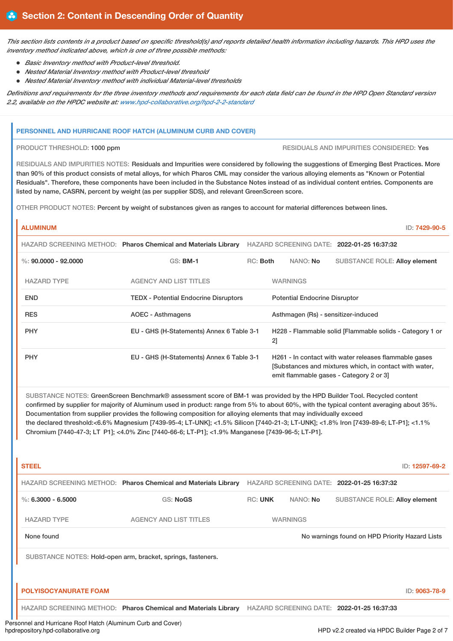*This section lists contents in a product based on specific threshold(s) and reports detailed health information including hazards. This HPD uses the inventory method indicated above, which is one of three possible methods:*

- *Basic Inventory method with Product-level threshold.*
- *Nested Material Inventory method with Product-level threshold*
- *Nested Material Inventory method with individual Material-level thresholds*

*Definitions and requirements for the three inventory methods and requirements for each data field can be found in the HPD Open Standard version 2.2, available on the HPDC website at: [www.hpd-collaborative.org/hpd-2-2-standard](https://www.hpd-collaborative.org/hpd-2-2-standard)*

#### **PERSONNEL AND HURRICANE ROOF HATCH (ALUMINUM CURB AND COVER)**

PRODUCT THRESHOLD: 1000 ppm RESIDUALS AND IMPURITIES CONSIDERED: Yes

RESIDUALS AND IMPURITIES NOTES: Residuals and Impurities were considered by following the suggestions of Emerging Best Practices. More than 90% of this product consists of metal alloys, for which Pharos CML may consider the various alloying elements as "Known or Potential Residuals". Therefore, these components have been included in the Substance Notes instead of as individual content entries. Components are listed by name, CASRN, percent by weight (as per supplier SDS), and relevant GreenScreen score.

OTHER PRODUCT NOTES: Percent by weight of substances given as ranges to account for material differences between lines.

**ALUMINUM** ID: **7429-90-5**

|                        | HAZARD SCREENING METHOD: Pharos Chemical and Materials Library |          |                                      |                                     | HAZARD SCREENING DATE: 2022-01-25 16:37:32                                                                                                                |  |
|------------------------|----------------------------------------------------------------|----------|--------------------------------------|-------------------------------------|-----------------------------------------------------------------------------------------------------------------------------------------------------------|--|
| %: $90,0000 - 92,0000$ | $GS:$ BM-1                                                     | RC: Both |                                      | NANO: No                            | <b>SUBSTANCE ROLE: Alloy element</b>                                                                                                                      |  |
| <b>HAZARD TYPE</b>     | <b>AGENCY AND LIST TITLES</b>                                  |          |                                      | <b>WARNINGS</b>                     |                                                                                                                                                           |  |
| <b>END</b>             | <b>TEDX - Potential Endocrine Disruptors</b>                   |          | <b>Potential Endocrine Disruptor</b> |                                     |                                                                                                                                                           |  |
| <b>RES</b>             | AOEC - Asthmagens                                              |          |                                      | Asthmagen (Rs) - sensitizer-induced |                                                                                                                                                           |  |
| <b>PHY</b>             | EU - GHS (H-Statements) Annex 6 Table 3-1                      |          | 2]                                   |                                     | H228 - Flammable solid [Flammable solids - Category 1 or                                                                                                  |  |
| <b>PHY</b>             | EU - GHS (H-Statements) Annex 6 Table 3-1                      |          |                                      |                                     | H261 - In contact with water releases flammable gases<br>[Substances and mixtures which, in contact with water,<br>emit flammable gases - Category 2 or 3 |  |

SUBSTANCE NOTES: GreenScreen Benchmark® assessment score of BM-1 was provided by the HPD Builder Tool. Recycled content confirmed by supplier for majority of Aluminum used in product: range from 5% to about 60%, with the typical content averaging about 35%. Documentation from supplier provides the following composition for alloying elements that may individually exceed the declared threshold:<6.6% Magnesium [7439-95-4; LT-UNK]; <1.5% Silicon [7440-21-3; LT-UNK]; <1.8% Iron [7439-89-6; LT-P1]; <1.1% Chromium [7440-47-3; LT P1]; <4.0% Zinc [7440-66-6; LT-P1]; <1.9% Manganese [7439-96-5; LT-P1].

| <b>STEEL</b>                 |                                                                |                |                 |                                                | ID: 12597-69-2 |
|------------------------------|----------------------------------------------------------------|----------------|-----------------|------------------------------------------------|----------------|
|                              | HAZARD SCREENING METHOD: Pharos Chemical and Materials Library |                |                 | HAZARD SCREENING DATE: 2022-01-25 16:37:32     |                |
| %: $6.3000 - 6.5000$         | GS: NoGS                                                       | <b>RC: UNK</b> | NANO: No        | <b>SUBSTANCE ROLE: Alloy element</b>           |                |
| <b>HAZARD TYPE</b>           | <b>AGENCY AND LIST TITLES</b>                                  |                | <b>WARNINGS</b> |                                                |                |
| None found                   |                                                                |                |                 | No warnings found on HPD Priority Hazard Lists |                |
|                              | SUBSTANCE NOTES: Hold-open arm, bracket, springs, fasteners.   |                |                 |                                                |                |
|                              |                                                                |                |                 |                                                |                |
| <b>POLYISOCYANURATE FOAM</b> |                                                                |                |                 |                                                | ID: 9063-78-9  |
|                              | HAZARD SCREENING METHOD: Pharos Chemical and Materials Library |                |                 | HAZARD SCREENING DATE: 2022-01-25 16:37:33     |                |

Personnel and Hurricane Roof Hatch (Aluminum Curb and Cover)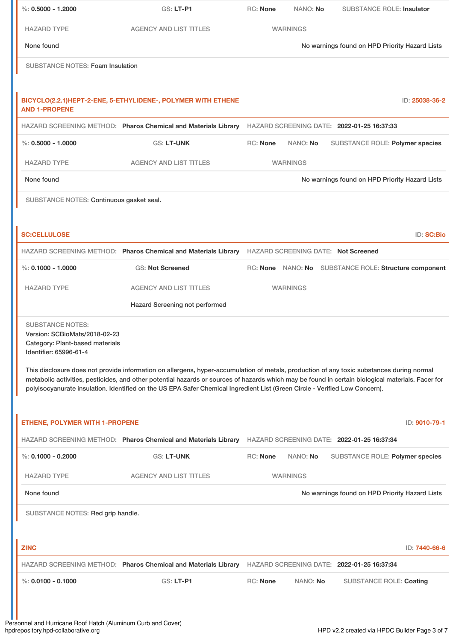| %: $0.5000 - 1.2000$                                                                                                  | GS: LT-P1                                                                                                                                                                                                                                                                                                                                                                                                                     | RC: None        | NANO: No        | <b>SUBSTANCE ROLE: Insulator</b>                      |
|-----------------------------------------------------------------------------------------------------------------------|-------------------------------------------------------------------------------------------------------------------------------------------------------------------------------------------------------------------------------------------------------------------------------------------------------------------------------------------------------------------------------------------------------------------------------|-----------------|-----------------|-------------------------------------------------------|
| <b>HAZARD TYPE</b>                                                                                                    | <b>AGENCY AND LIST TITLES</b>                                                                                                                                                                                                                                                                                                                                                                                                 |                 | <b>WARNINGS</b> |                                                       |
| None found                                                                                                            |                                                                                                                                                                                                                                                                                                                                                                                                                               |                 |                 | No warnings found on HPD Priority Hazard Lists        |
| <b>SUBSTANCE NOTES: Foam Insulation</b>                                                                               |                                                                                                                                                                                                                                                                                                                                                                                                                               |                 |                 |                                                       |
|                                                                                                                       |                                                                                                                                                                                                                                                                                                                                                                                                                               |                 |                 |                                                       |
| <b>AND 1-PROPENE</b>                                                                                                  | BICYCLO(2.2.1)HEPT-2-ENE, 5-ETHYLIDENE-, POLYMER WITH ETHENE                                                                                                                                                                                                                                                                                                                                                                  |                 |                 | ID: 25038-36-2                                        |
|                                                                                                                       | HAZARD SCREENING METHOD: Pharos Chemical and Materials Library                                                                                                                                                                                                                                                                                                                                                                |                 |                 | HAZARD SCREENING DATE: 2022-01-25 16:37:33            |
| $\%$ : 0.5000 - 1.0000                                                                                                | <b>GS: LT-UNK</b>                                                                                                                                                                                                                                                                                                                                                                                                             | RC: None        | NANO: No        | <b>SUBSTANCE ROLE: Polymer species</b>                |
| <b>HAZARD TYPE</b>                                                                                                    | <b>AGENCY AND LIST TITLES</b>                                                                                                                                                                                                                                                                                                                                                                                                 |                 | <b>WARNINGS</b> |                                                       |
| None found                                                                                                            |                                                                                                                                                                                                                                                                                                                                                                                                                               |                 |                 | No warnings found on HPD Priority Hazard Lists        |
| SUBSTANCE NOTES: Continuous gasket seal.                                                                              |                                                                                                                                                                                                                                                                                                                                                                                                                               |                 |                 |                                                       |
|                                                                                                                       |                                                                                                                                                                                                                                                                                                                                                                                                                               |                 |                 |                                                       |
| <b>SC:CELLULOSE</b>                                                                                                   |                                                                                                                                                                                                                                                                                                                                                                                                                               |                 |                 | ID: SC:Bio                                            |
|                                                                                                                       | HAZARD SCREENING METHOD: Pharos Chemical and Materials Library HAZARD SCREENING DATE: Not Screened                                                                                                                                                                                                                                                                                                                            |                 |                 |                                                       |
| %: $0.1000 - 1.0000$                                                                                                  | <b>GS: Not Screened</b>                                                                                                                                                                                                                                                                                                                                                                                                       |                 |                 | RC: None NANO: No SUBSTANCE ROLE: Structure component |
| <b>HAZARD TYPE</b>                                                                                                    | <b>AGENCY AND LIST TITLES</b>                                                                                                                                                                                                                                                                                                                                                                                                 |                 | <b>WARNINGS</b> |                                                       |
|                                                                                                                       | Hazard Screening not performed                                                                                                                                                                                                                                                                                                                                                                                                |                 |                 |                                                       |
| <b>SUBSTANCE NOTES:</b><br>Version: SCBioMats/2018-02-23<br>Category: Plant-based materials<br>Identifier: 65996-61-4 |                                                                                                                                                                                                                                                                                                                                                                                                                               |                 |                 |                                                       |
|                                                                                                                       | This disclosure does not provide information on allergens, hyper-accumulation of metals, production of any toxic substances during normal<br>metabolic activities, pesticides, and other potential hazards or sources of hazards which may be found in certain biological materials. Facer for<br>polyisocyanurate insulation. Identified on the US EPA Safer Chemical Ingredient List (Green Circle - Verified Low Concern). |                 |                 |                                                       |
| <b>ETHENE, POLYMER WITH 1-PROPENE</b>                                                                                 |                                                                                                                                                                                                                                                                                                                                                                                                                               |                 |                 | ID: 9010-79-1                                         |
|                                                                                                                       | HAZARD SCREENING METHOD: Pharos Chemical and Materials Library                                                                                                                                                                                                                                                                                                                                                                |                 |                 | HAZARD SCREENING DATE: 2022-01-25 16:37:34            |
| %: $0.1000 - 0.2000$                                                                                                  | <b>GS: LT-UNK</b>                                                                                                                                                                                                                                                                                                                                                                                                             | <b>RC: None</b> | NANO: No        | SUBSTANCE ROLE: Polymer species                       |
| <b>HAZARD TYPE</b>                                                                                                    | <b>AGENCY AND LIST TITLES</b>                                                                                                                                                                                                                                                                                                                                                                                                 |                 | <b>WARNINGS</b> |                                                       |
| None found                                                                                                            |                                                                                                                                                                                                                                                                                                                                                                                                                               |                 |                 | No warnings found on HPD Priority Hazard Lists        |
| SUBSTANCE NOTES: Red grip handle.                                                                                     |                                                                                                                                                                                                                                                                                                                                                                                                                               |                 |                 |                                                       |
|                                                                                                                       |                                                                                                                                                                                                                                                                                                                                                                                                                               |                 |                 |                                                       |
| <b>ZINC</b>                                                                                                           |                                                                                                                                                                                                                                                                                                                                                                                                                               |                 |                 | ID: 7440-66-6                                         |
|                                                                                                                       | HAZARD SCREENING METHOD: Pharos Chemical and Materials Library                                                                                                                                                                                                                                                                                                                                                                |                 |                 | HAZARD SCREENING DATE: 2022-01-25 16:37:34            |
| $\%$ : 0.0100 - 0.1000                                                                                                | GS: LT-P1                                                                                                                                                                                                                                                                                                                                                                                                                     | RC: None        | NANO: No        | <b>SUBSTANCE ROLE: Coating</b>                        |
|                                                                                                                       |                                                                                                                                                                                                                                                                                                                                                                                                                               |                 |                 |                                                       |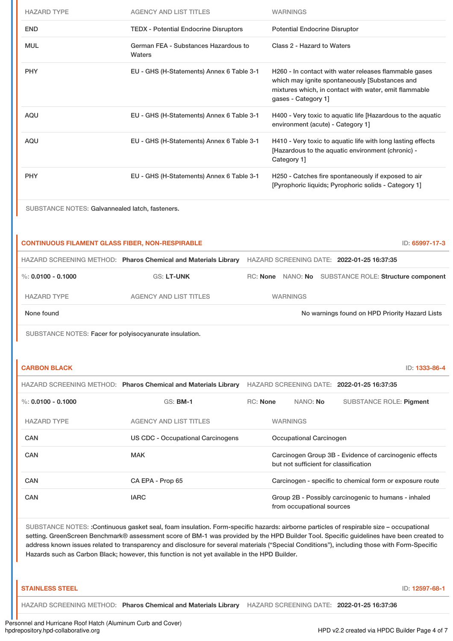| <b>HAZARD TYPE</b> | <b>AGENCY AND LIST TITLES</b>                  | <b>WARNINGS</b>                                                                                                                                                                         |
|--------------------|------------------------------------------------|-----------------------------------------------------------------------------------------------------------------------------------------------------------------------------------------|
| <b>END</b>         | <b>TEDX - Potential Endocrine Disruptors</b>   | <b>Potential Endocrine Disruptor</b>                                                                                                                                                    |
| <b>MUL</b>         | German FEA - Substances Hazardous to<br>Waters | Class 2 - Hazard to Waters                                                                                                                                                              |
| <b>PHY</b>         | EU - GHS (H-Statements) Annex 6 Table 3-1      | H260 - In contact with water releases flammable gases<br>which may ignite spontaneously [Substances and<br>mixtures which, in contact with water, emit flammable<br>gases - Category 1] |
| <b>AQU</b>         | EU - GHS (H-Statements) Annex 6 Table 3-1      | H400 - Very toxic to aquatic life [Hazardous to the aquatic<br>environment (acute) - Category 1]                                                                                        |
| AQU                | EU - GHS (H-Statements) Annex 6 Table 3-1      | H410 - Very toxic to aquatic life with long lasting effects<br>[Hazardous to the aquatic environment (chronic) -<br>Category 1]                                                         |
| <b>PHY</b>         | EU - GHS (H-Statements) Annex 6 Table 3-1      | H250 - Catches fire spontaneously if exposed to air<br>[Pyrophoric liquids; Pyrophoric solids - Category 1]                                                                             |

SUBSTANCE NOTES: Galvannealed latch, fasteners.

| <b>CONTINUOUS FILAMENT GLASS FIBER, NON-RESPIRABLE</b><br>ID: 65997-17-3 |                                                                |                                                          |  |  |  |  |  |
|--------------------------------------------------------------------------|----------------------------------------------------------------|----------------------------------------------------------|--|--|--|--|--|
|                                                                          | HAZARD SCREENING METHOD: Pharos Chemical and Materials Library | HAZARD SCREENING DATE: 2022-01-25 16:37:35               |  |  |  |  |  |
| %: $0.0100 - 0.1000$                                                     | <b>GS: LT-UNK</b>                                              | NANO: No SUBSTANCE ROLE: Structure component<br>RC: None |  |  |  |  |  |
| <b>HAZARD TYPE</b>                                                       | <b>AGENCY AND LIST TITLES</b>                                  | <b>WARNINGS</b>                                          |  |  |  |  |  |
| None found                                                               |                                                                | No warnings found on HPD Priority Hazard Lists           |  |  |  |  |  |

SUBSTANCE NOTES: Facer for polyisocyanurate insulation.

| <b>CARBON BLACK</b> | ID: 1333-86-4 |
|---------------------|---------------|
|---------------------|---------------|

|                      | HAZARD SCREENING METHOD: Pharos Chemical and Materials Library | HAZARD SCREENING DATE: 2022-01-25 16:37:35                                                      |                        |                           |                                                      |
|----------------------|----------------------------------------------------------------|-------------------------------------------------------------------------------------------------|------------------------|---------------------------|------------------------------------------------------|
| %: $0.0100 - 0.1000$ | $GS:$ BM-1                                                     |                                                                                                 | $RC:$ None<br>NANO: No |                           | <b>SUBSTANCE ROLE: Pigment</b>                       |
| <b>HAZARD TYPE</b>   | <b>AGENCY AND LIST TITLES</b>                                  | <b>WARNINGS</b>                                                                                 |                        |                           |                                                      |
| CAN                  | US CDC - Occupational Carcinogens                              | Occupational Carcinogen                                                                         |                        |                           |                                                      |
| CAN                  | <b>MAK</b>                                                     | Carcinogen Group 3B - Evidence of carcinogenic effects<br>but not sufficient for classification |                        |                           |                                                      |
| CAN                  | CA EPA - Prop 65                                               | Carcinogen - specific to chemical form or exposure route                                        |                        |                           |                                                      |
| CAN                  | <b>IARC</b>                                                    |                                                                                                 |                        | from occupational sources | Group 2B - Possibly carcinogenic to humans - inhaled |

SUBSTANCE NOTES: :Continuous gasket seal, foam insulation. Form-specific hazards: airborne particles of respirable size – occupational setting. GreenScreen Benchmark® assessment score of BM-1 was provided by the HPD Builder Tool. Specific guidelines have been created to address known issues related to transparency and disclosure for several materials ("Special Conditions"), including those with Form-Specific Hazards such as Carbon Black; however, this function is not yet available in the HPD Builder.

| <b>STAINLESS STEEL</b>                                                                                             |  | ID: 12597-68-1 |
|--------------------------------------------------------------------------------------------------------------------|--|----------------|
| <b>I</b> HAZARD SCREENING METHOD: Pharos Chemical and Materials Library HAZARD SCREENING DATE: 2022-01-25 16:37:36 |  |                |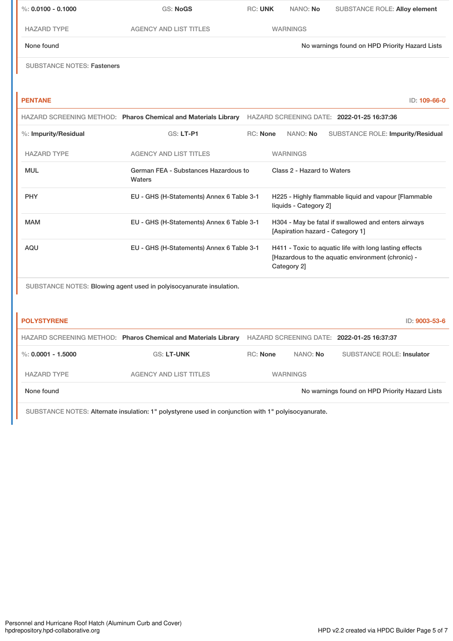| $\%$ : 0.0100 - 0.1000            | <b>GS: NoGS</b>                                                     | <b>RC: UNK</b>  | NANO: No                   | <b>SUBSTANCE ROLE: Alloy element</b>                                                                        |
|-----------------------------------|---------------------------------------------------------------------|-----------------|----------------------------|-------------------------------------------------------------------------------------------------------------|
| <b>HAZARD TYPE</b>                | <b>AGENCY AND LIST TITLES</b>                                       |                 | <b>WARNINGS</b>            |                                                                                                             |
| None found                        |                                                                     |                 |                            | No warnings found on HPD Priority Hazard Lists                                                              |
| <b>SUBSTANCE NOTES: Fasteners</b> |                                                                     |                 |                            |                                                                                                             |
|                                   |                                                                     |                 |                            |                                                                                                             |
| <b>PENTANE</b>                    |                                                                     |                 |                            | ID: 109-66-0                                                                                                |
|                                   | HAZARD SCREENING METHOD: Pharos Chemical and Materials Library      |                 |                            | HAZARD SCREENING DATE: 2022-01-25 16:37:36                                                                  |
| %: Impurity/Residual              | <b>GS: LT-P1</b>                                                    | <b>RC: None</b> | NANO: No                   | <b>SUBSTANCE ROLE: Impurity/Residual</b>                                                                    |
| <b>HAZARD TYPE</b>                | <b>AGENCY AND LIST TITLES</b>                                       |                 | <b>WARNINGS</b>            |                                                                                                             |
| <b>MUL</b>                        | German FEA - Substances Hazardous to<br>Waters                      |                 | Class 2 - Hazard to Waters |                                                                                                             |
| <b>PHY</b>                        | EU - GHS (H-Statements) Annex 6 Table 3-1                           |                 | liquids - Category 2]      | H225 - Highly flammable liquid and vapour [Flammable                                                        |
| <b>MAM</b>                        | EU - GHS (H-Statements) Annex 6 Table 3-1                           |                 |                            | H304 - May be fatal if swallowed and enters airways<br>[Aspiration hazard - Category 1]                     |
| <b>AQU</b>                        | EU - GHS (H-Statements) Annex 6 Table 3-1                           |                 | Category 2]                | H411 - Toxic to aquatic life with long lasting effects<br>[Hazardous to the aquatic environment (chronic) - |
|                                   | SUBSTANCE NOTES: Blowing agent used in polyisocyanurate insulation. |                 |                            |                                                                                                             |

| <b>POLYSTYRENE</b> |                                                                |                 |                 | ID: 9003-53-6                                  |
|--------------------|----------------------------------------------------------------|-----------------|-----------------|------------------------------------------------|
|                    | HAZARD SCREENING METHOD: Pharos Chemical and Materials Library |                 |                 | HAZARD SCREENING DATE: 2022-01-25 16:37:37     |
| %: 0.0001 - 1.5000 | <b>GS: LT-UNK</b>                                              | <b>RC:</b> None | NANO: No        | <b>SUBSTANCE ROLE: Insulator</b>               |
| <b>HAZARD TYPE</b> | <b>AGENCY AND LIST TITLES</b>                                  |                 | <b>WARNINGS</b> |                                                |
| None found         |                                                                |                 |                 | No warnings found on HPD Priority Hazard Lists |

SUBSTANCE NOTES: Alternate insulation: 1" polystyrene used in conjunction with 1" polyisocyanurate.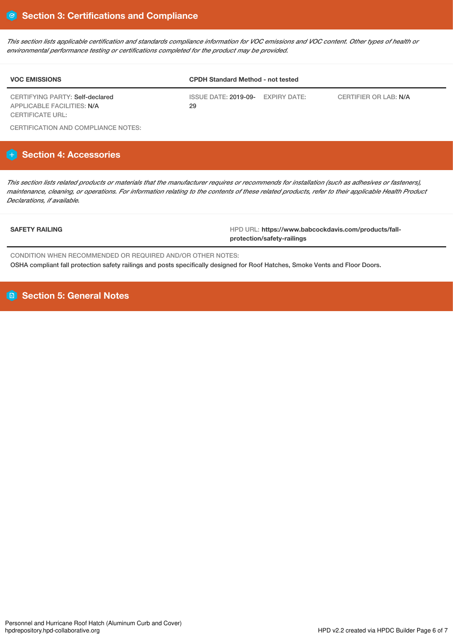*This section lists applicable certification and standards compliance information for VOC emissions and VOC content. Other types of health or environmental performance testing or certifications completed for the product may be provided.*

| <b>VOC EMISSIONS</b>                                          | <b>CPDH Standard Method - not tested</b>   |                       |  |  |  |
|---------------------------------------------------------------|--------------------------------------------|-----------------------|--|--|--|
| CERTIFYING PARTY: Self-declared<br>APPLICABLE FACILITIES: N/A | EXPIRY DATE:<br>ISSUE DATE: 2019-09-<br>29 | CERTIFIER OR LAB: N/A |  |  |  |
| CERTIFICATE URL:                                              |                                            |                       |  |  |  |

CERTIFICATION AND COMPLIANCE NOTES:

# **H** Section 4: Accessories

*This section lists related products or materials that the manufacturer requires or recommends for installation (such as adhesives or fasteners), maintenance, cleaning, or operations. For information relating to the contents of these related products, refer to their applicable Health Product Declarations, if available.*

**SAFETY RAILING** HPD URL: **https://www.babcockdavis.com/products/fallprotection/safety-railings**

CONDITION WHEN RECOMMENDED OR REQUIRED AND/OR OTHER NOTES: OSHA compliant fall protection safety railings and posts specifically designed for Roof Hatches, Smoke Vents and Floor Doors.

**B** Section 5: General Notes